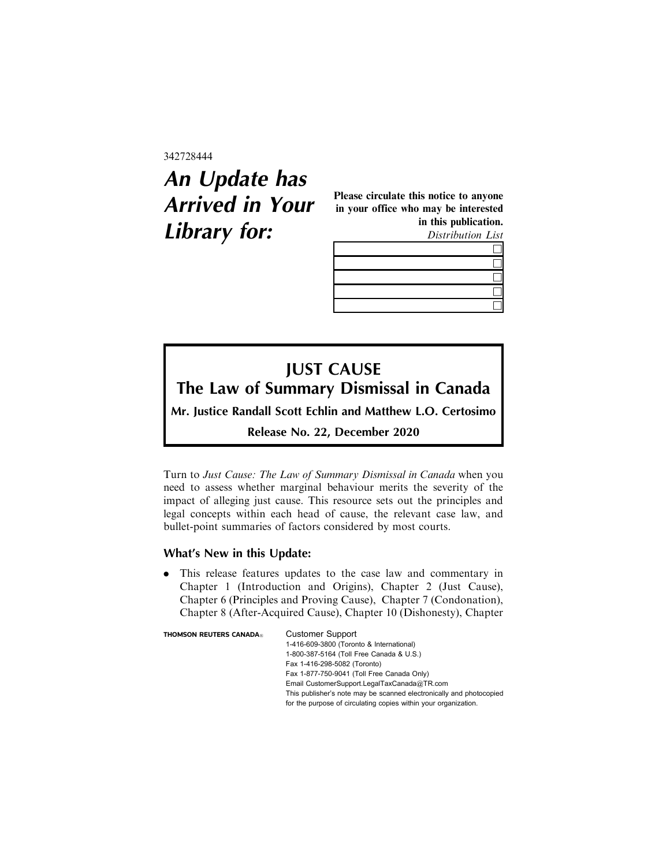342728444

## **An Update has Arrived in Your Library for:**

Please circulate this notice to anyone in your office who may be interested in this publication. Distribution List



## **JUST CAUSE The Law of Summary Dismissal in Canada**

**Mr. Justice Randall Scott Echlin and Matthew L.O. Certosimo**

**Release No. 22, December 2020**

Turn to Just Cause: The Law of Summary Dismissal in Canada when you need to assess whether marginal behaviour merits the severity of the impact of alleging just cause. This resource sets out the principles and legal concepts within each head of cause, the relevant case law, and bullet-point summaries of factors considered by most courts.

## **What's New in this Update:**

. This release features updates to the case law and commentary in Chapter 1 (Introduction and Origins), Chapter 2 (Just Cause), Chapter 6 (Principles and Proving Cause), Chapter 7 (Condonation), Chapter 8 (After-Acquired Cause), Chapter 10 (Dishonesty), Chapter

| <b>THOMSON REUTERS CANADA</b> ® | <b>Customer Support</b>                                             |
|---------------------------------|---------------------------------------------------------------------|
|                                 | 1-416-609-3800 (Toronto & International)                            |
|                                 | 1-800-387-5164 (Toll Free Canada & U.S.)                            |
|                                 | Fax 1-416-298-5082 (Toronto)                                        |
|                                 | Fax 1-877-750-9041 (Toll Free Canada Only)                          |
|                                 | Email CustomerSupport.LegalTaxCanada@TR.com                         |
|                                 | This publisher's note may be scanned electronically and photocopied |
|                                 | for the purpose of circulating copies within your organization.     |